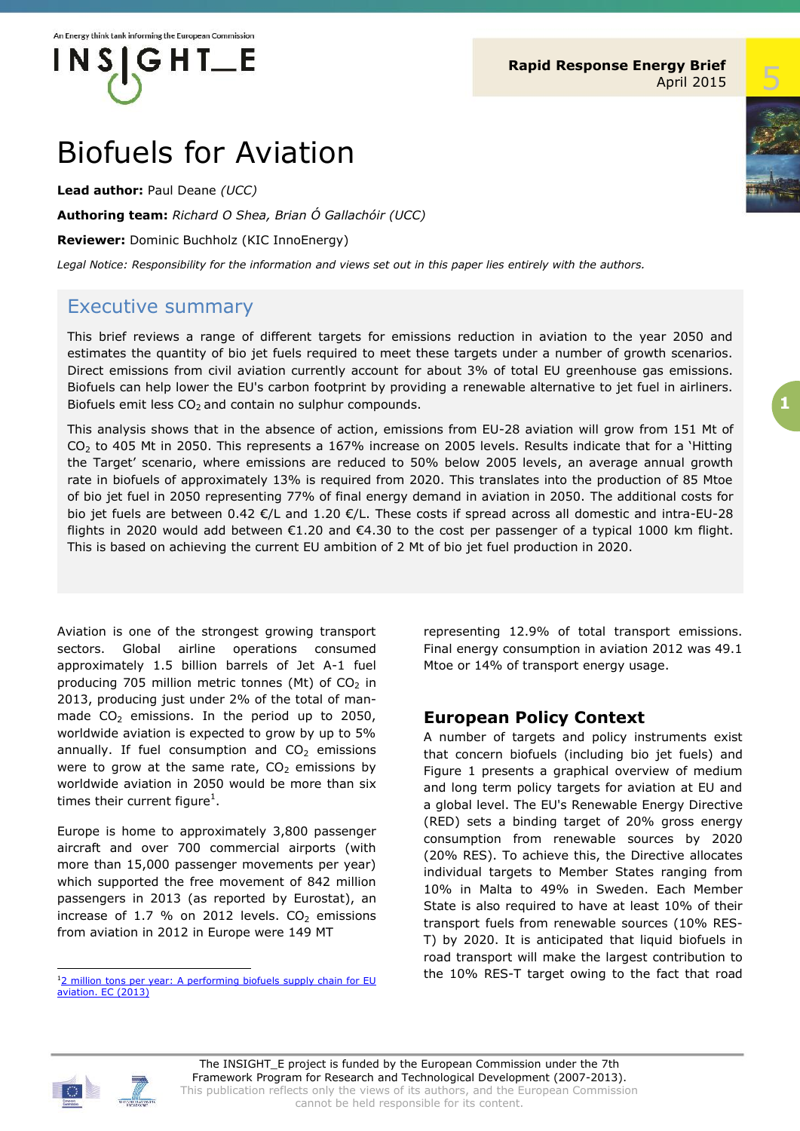

# Biofuels for Aviation

**Lead author:** Paul Deane *(UCC)*

**Authoring team:** *Richard O Shea, Brian Ó Gallachóir (UCC)*

**Reviewer:** Dominic Buchholz (KIC InnoEnergy)

*Legal Notice: Responsibility for the information and views set out in this paper lies entirely with the authors.*

## Executive summary

This brief reviews a range of different targets for emissions reduction in aviation to the year 2050 and estimates the quantity of bio jet fuels required to meet these targets under a number of growth scenarios. Direct emissions from civil aviation currently account for about 3% of total EU greenhouse gas emissions. Biofuels can help lower the EU's carbon footprint by providing a renewable alternative to jet fuel in airliners. Biofuels emit less  $CO<sub>2</sub>$  and contain no sulphur compounds.

This analysis shows that in the absence of action, emissions from EU-28 aviation will grow from 151 Mt of CO<sub>2</sub> to 405 Mt in 2050. This represents a 167% increase on 2005 levels. Results indicate that for a 'Hitting the Target' scenario, where emissions are reduced to 50% below 2005 levels, an average annual growth rate in biofuels of approximately 13% is required from 2020. This translates into the production of 85 Mtoe of bio jet fuel in 2050 representing 77% of final energy demand in aviation in 2050. The additional costs for bio jet fuels are between 0.42 €/L and 1.20 €/L. These costs if spread across all domestic and intra-EU-28 flights in 2020 would add between €1.20 and €4.30 to the cost per passenger of a typical 1000 km flight. This is based on achieving the current EU ambition of 2 Mt of bio jet fuel production in 2020.

Aviation is one of the strongest growing transport sectors. Global airline operations consumed approximately 1.5 billion barrels of Jet A-1 fuel producing 705 million metric tonnes (Mt) of  $CO<sub>2</sub>$  in 2013, producing just under 2% of the total of manmade  $CO<sub>2</sub>$  emissions. In the period up to 2050, worldwide aviation is expected to grow by up to 5% annually. If fuel consumption and  $CO<sub>2</sub>$  emissions were to grow at the same rate,  $CO<sub>2</sub>$  emissions by worldwide aviation in 2050 would be more than six times their current figure<sup>1</sup>.

Europe is home to approximately 3,800 passenger aircraft and over 700 commercial airports (with more than 15,000 passenger movements per year) which supported the free movement of 842 million passengers in 2013 (as reported by Eurostat), an increase of 1.7 % on 2012 levels.  $CO<sub>2</sub>$  emissions from aviation in 2012 in Europe were 149 MT

representing 12.9% of total transport emissions. Final energy consumption in aviation 2012 was 49.1 Mtoe or 14% of transport energy usage.

## **European Policy Context**

A number of targets and policy instruments exist that concern biofuels (including bio jet fuels) and Figure 1 presents a graphical overview of medium and long term policy targets for aviation at EU and a global level. The EU's Renewable Energy Directive (RED) sets a binding target of 20% gross energy consumption from renewable sources by 2020 (20% RES). To achieve this, the Directive allocates individual targets to Member States ranging from 10% in Malta to 49% in Sweden. Each Member State is also required to have at least 10% of their transport fuels from renewable sources (10% RES-T) by 2020. It is anticipated that liquid biofuels in road transport will make the largest contribution to the 10% RES-T target owing to the fact that road





ł

<sup>&</sup>lt;sup>1</sup>[2 million tons per year: A performing biofuels](file:///C:/Users/U016786/AppData/Local/Microsoft/Windows/Temporary%20Internet%20Files/Content.Outlook/PEQ59XUA/ec.europa.eu/.../20130911_a_performing_biofuels_supply_chain.pdf) supply chain for EU [aviation. EC \(2013\)](file:///C:/Users/U016786/AppData/Local/Microsoft/Windows/Temporary%20Internet%20Files/Content.Outlook/PEQ59XUA/ec.europa.eu/.../20130911_a_performing_biofuels_supply_chain.pdf)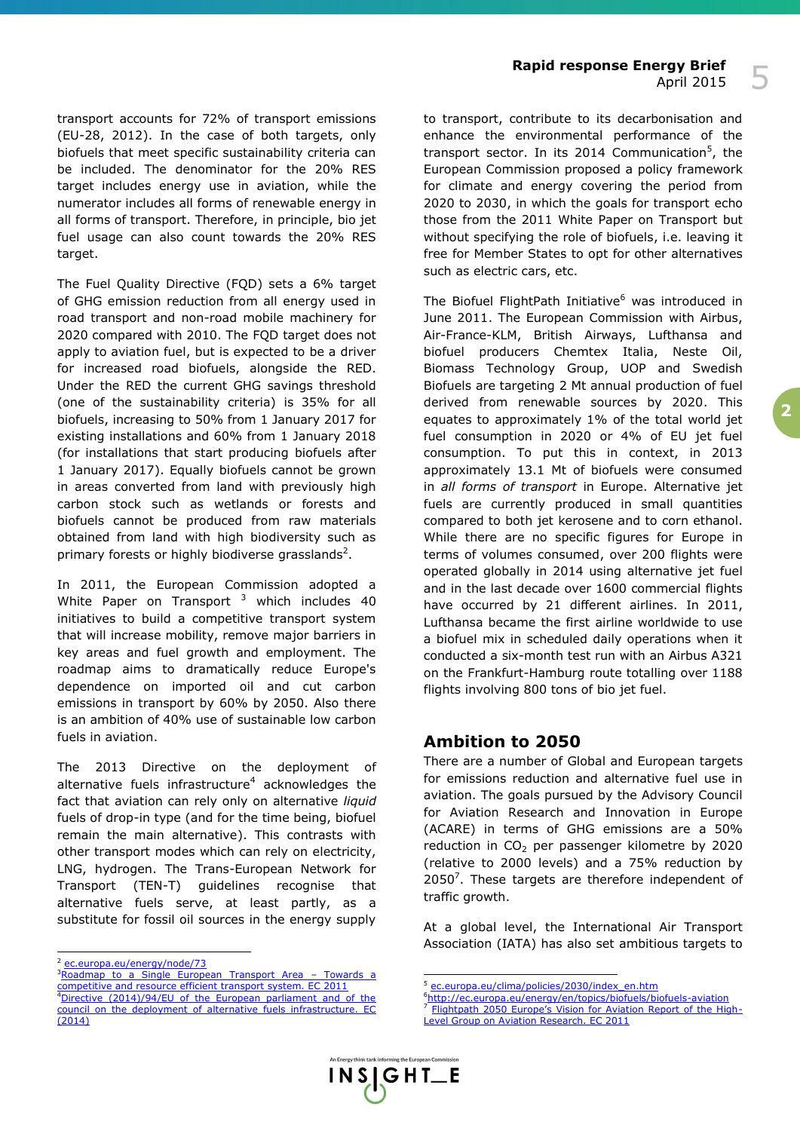transport accounts for 72% of transport emissions (EU-28, 2012). In the case of both targets, only biofuels that meet specific sustainability criteria can be included. The denominator for the 20% RES target includes energy use in aviation, while the numerator includes all forms of renewable energy in all forms of transport. Therefore, in principle, bio jet fuel usage can also count towards the 20% RES target.

The Fuel Quality Directive (FQD) sets a 6% target of GHG emission reduction from all energy used in road transport and non-road mobile machinery for 2020 compared with 2010. The FQD target does not apply to aviation fuel, but is expected to be a driver for increased road biofuels, alongside the RED. Under the RED the current GHG savings threshold (one of the sustainability criteria) is 35% for all biofuels, increasing to 50% from 1 January 2017 for existing installations and 60% from 1 January 2018 (for installations that start producing biofuels after 1 January 2017). Equally biofuels cannot be grown in areas converted from land with previously high carbon stock such as wetlands or forests and biofuels cannot be produced from raw materials obtained from land with high biodiversity such as primary forests or highly biodiverse grasslands<sup>2</sup>.

In 2011, the European Commission adopted a White Paper on Transport  $3$  which includes 40 initiatives to build a competitive transport system that will increase mobility, remove major barriers in key areas and fuel growth and employment. The roadmap aims to dramatically reduce Europe's dependence on imported oil and cut carbon emissions in transport by 60% by 2050. Also there is an ambition of 40% use of sustainable low carbon fuels in aviation.

The 2013 Directive on the deployment of alternative fuels infrastructure<sup>4</sup> acknowledges the fact that aviation can rely only on alternative *liquid* fuels of drop-in type (and for the time being, biofuel remain the main alternative). This contrasts with other transport modes which can rely on electricity, LNG, hydrogen. The Trans-European Network for Transport (TEN-T) guidelines recognise that alternative fuels serve, at least partly, as a substitute for fossil oil sources in the energy supply

ł

to transport, contribute to its decarbonisation and enhance the environmental performance of the transport sector. In its 2014 Communication<sup>5</sup>, the European Commission proposed a policy framework for climate and energy covering the period from 2020 to 2030, in which the goals for transport echo those from the 2011 White Paper on Transport but without specifying the role of biofuels, i.e. leaving it free for Member States to opt for other alternatives such as electric cars, etc.

The Biofuel FlightPath Initiative<sup>6</sup> was introduced in June 2011. The European Commission with Airbus, Air-France-KLM, British Airways, Lufthansa and biofuel producers Chemtex Italia, Neste Oil, Biomass Technology Group, UOP and Swedish Biofuels are targeting 2 Mt annual production of fuel derived from renewable sources by 2020. This equates to approximately 1% of the total world jet fuel consumption in 2020 or 4% of EU jet fuel consumption. To put this in context, in 2013 approximately 13.1 Mt of biofuels were consumed in *all forms of transport* in Europe. Alternative jet fuels are currently produced in small quantities compared to both jet kerosene and to corn ethanol. While there are no specific figures for Europe in terms of volumes consumed, over 200 flights were operated globally in 2014 using alternative jet fuel and in the last decade over 1600 commercial flights have occurred by 21 different airlines. In 2011, Lufthansa became the first airline worldwide to use a biofuel mix in scheduled daily operations when it conducted a six-month test run with an Airbus A321 on the Frankfurt-Hamburg route totalling over 1188 flights involving 800 tons of bio jet fuel.

## **Ambition to 2050**

There are a number of Global and European targets for emissions reduction and alternative fuel use in aviation. The goals pursued by the Advisory Council for Aviation Research and Innovation in Europe (ACARE) in terms of GHG emissions are a 50% reduction in  $CO<sub>2</sub>$  per passenger kilometre by 2020 (relative to 2000 levels) and a 75% reduction by  $2050<sup>7</sup>$ . These targets are therefore independent of traffic growth.

At a global level, the International Air Transport Association (IATA) has also set ambitious targets to

[Flightpath 2050 Europe's Vision for Aviation Report of the High](file:///C:/Users/U016786/AppData/Local/Microsoft/Windows/Temporary%20Internet%20Files/Content.Outlook/PEQ59XUA/ec.europa.eu/research/transport/pdf/flightpath2050_final.pdf)-[Level Group on Aviation Research. EC 2011](file:///C:/Users/U016786/AppData/Local/Microsoft/Windows/Temporary%20Internet%20Files/Content.Outlook/PEQ59XUA/ec.europa.eu/research/transport/pdf/flightpath2050_final.pdf)



-

<sup>&</sup>lt;sup>2</sup> [ec.europa.eu/energy/node/73](https://ec.europa.eu/energy/node/73)

<sup>3</sup>[Roadmap to a Single European Transport Area](http://ec.europa.eu/transport/themes/strategies/2011_white_paper_en.htm) - Towards a [competitive and resource efficient transport system. EC 2011](http://ec.europa.eu/transport/themes/strategies/2011_white_paper_en.htm) <sup>4</sup>[Directive \(2014\)/94/EU of the European parliament and of the](http://eur-lex.europa.eu/legal-content/EN/TXT/?uri=CELEX:32014L0094)  [council on the deployment of alternative fuels infrastructure. EC](http://eur-lex.europa.eu/legal-content/EN/TXT/?uri=CELEX:32014L0094)   $(2014)$ 

<sup>5</sup> [ec.europa.eu/clima/policies/2030/index\\_en.htm](file:///C:/Users/U016786/AppData/Local/Microsoft/Windows/Temporary%20Internet%20Files/Content.Outlook/PEQ59XUA/ec.europa.eu/clima/policies/2030/index_en.htm)

<sup>6</sup><http://ec.europa.eu/energy/en/topics/biofuels/biofuels-aviation>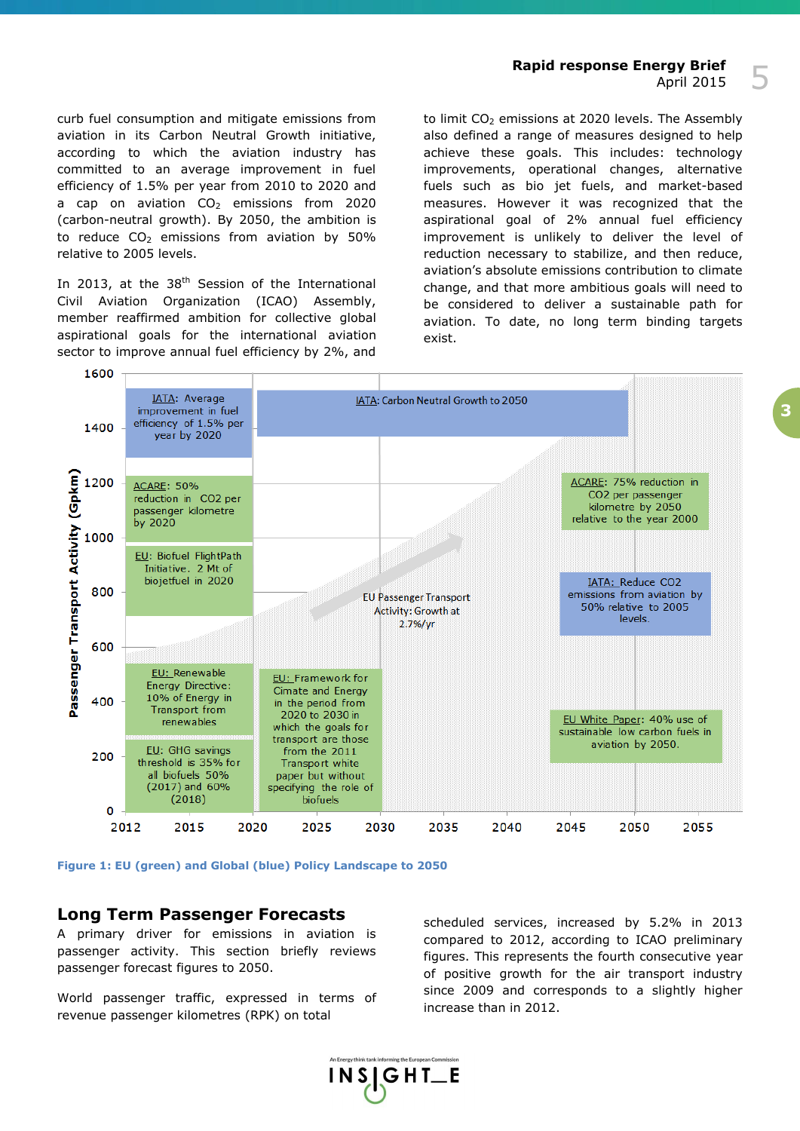curb fuel consumption and mitigate emissions from aviation in its Carbon Neutral Growth initiative, according to which the aviation industry has committed to an average improvement in fuel efficiency of 1.5% per year from 2010 to 2020 and a cap on aviation  $CO<sub>2</sub>$  emissions from 2020 (carbon-neutral growth). By 2050, the ambition is to reduce  $CO<sub>2</sub>$  emissions from aviation by 50% relative to 2005 levels.

In 2013, at the  $38<sup>th</sup>$  Session of the International Civil Aviation Organization (ICAO) Assembly, member reaffirmed ambition for collective global aspirational goals for the international aviation sector to improve annual fuel efficiency by 2%, and

to limit  $CO<sub>2</sub>$  emissions at 2020 levels. The Assembly also defined a range of measures designed to help achieve these goals. This includes: technology improvements, operational changes, alternative fuels such as bio jet fuels, and market-based measures. However it was recognized that the aspirational goal of 2% annual fuel efficiency improvement is unlikely to deliver the level of reduction necessary to stabilize, and then reduce, aviation's absolute emissions contribution to climate change, and that more ambitious goals will need to be considered to deliver a sustainable path for aviation. To date, no long term binding targets exist.



**Figure 1: EU (green) and Global (blue) Policy Landscape to 2050**

### **Long Term Passenger Forecasts**

A primary driver for emissions in aviation is passenger activity. This section briefly reviews passenger forecast figures to 2050.

World passenger traffic, expressed in terms of revenue passenger kilometres (RPK) on total

scheduled services, increased by 5.2% in 2013 compared to 2012, according to ICAO preliminary figures. This represents the fourth consecutive year of positive growth for the air transport industry since 2009 and corresponds to a slightly higher increase than in 2012.

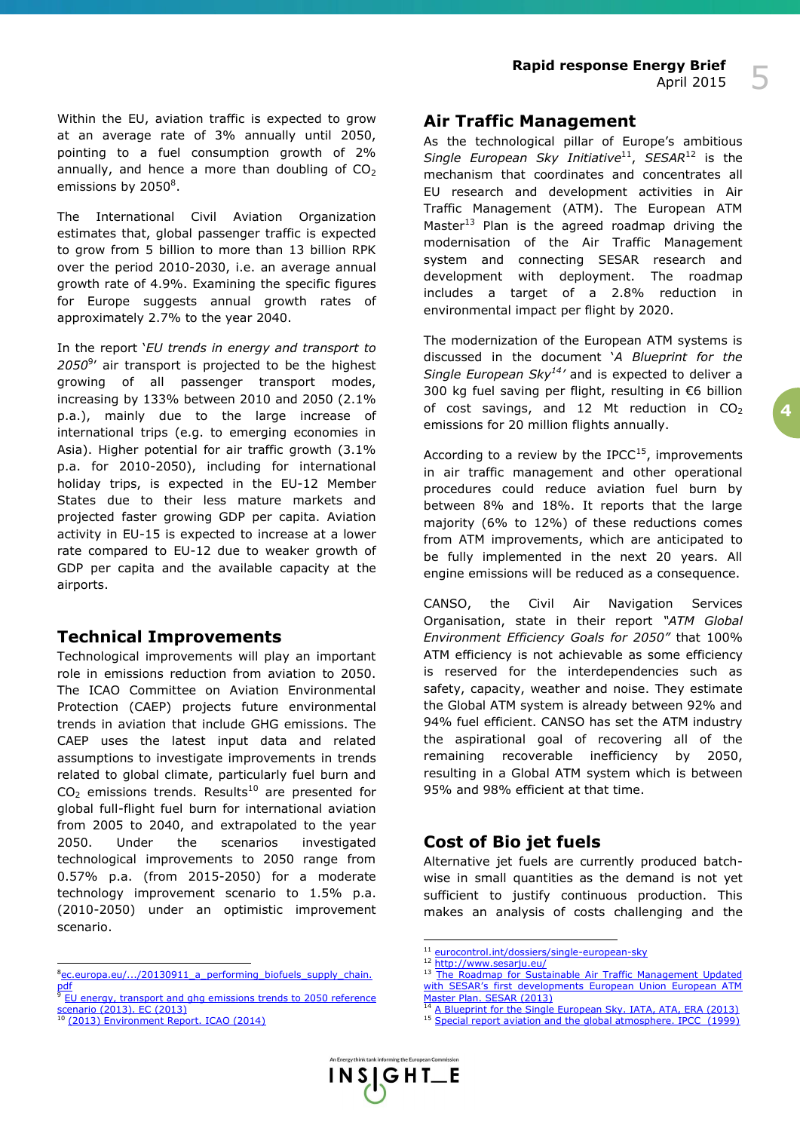Within the EU, aviation traffic is expected to grow at an average rate of 3% annually until 2050, pointing to a fuel consumption growth of 2% annually, and hence a more than doubling of  $CO<sub>2</sub>$ emissions by 2050<sup>8</sup>.

The International Civil Aviation Organization estimates that, global passenger traffic is expected to grow from 5 billion to more than 13 billion RPK over the period 2010-2030, i.e. an average annual growth rate of 4.9%. Examining the specific figures for Europe suggests annual growth rates of approximately 2.7% to the year 2040.

In the report '*EU trends in energy and transport to 2050*<sup>9</sup> ' air transport is projected to be the highest growing of all passenger transport modes, increasing by 133% between 2010 and 2050 (2.1% p.a.), mainly due to the large increase of international trips (e.g. to emerging economies in Asia). Higher potential for air traffic growth (3.1% p.a. for 2010-2050), including for international holiday trips, is expected in the EU-12 Member States due to their less mature markets and projected faster growing GDP per capita. Aviation activity in EU-15 is expected to increase at a lower rate compared to EU-12 due to weaker growth of GDP per capita and the available capacity at the airports.

## **Technical Improvements**

Technological improvements will play an important role in emissions reduction from aviation to 2050. The ICAO Committee on Aviation Environmental Protection (CAEP) projects future environmental trends in aviation that include GHG emissions. The CAEP uses the latest input data and related assumptions to investigate improvements in trends related to global climate, particularly fuel burn and  $CO<sub>2</sub>$  emissions trends. Results<sup>10</sup> are presented for global full-flight fuel burn for international aviation from 2005 to 2040, and extrapolated to the year 2050. Under the scenarios investigated technological improvements to 2050 range from 0.57% p.a. (from 2015-2050) for a moderate technology improvement scenario to 1.5% p.a. (2010-2050) under an optimistic improvement scenario.

<sup>8</sup>[ec.europa.eu/.../20130911\\_a\\_performing\\_biofuels\\_supply\\_chain.](file:///C:/Users/U016786/AppData/Local/Microsoft/Windows/Temporary%20Internet%20Files/Content.Outlook/PEQ59XUA/ec.europa.eu/.../20130911_a_performing_biofuels_supply_chain.pdf) p<u>df</u><br><sup>9</sup> EU energy, transport and ghg emissions trends to 2050 reference

ł

## **Air Traffic Management**

As the technological pillar of Europe's ambitious Single European Sky Initiative<sup>11</sup>, SESAR<sup>12</sup> is the mechanism that coordinates and concentrates all EU research and development activities in Air Traffic Management (ATM). The European ATM Master<sup>13</sup> Plan is the agreed roadmap driving the modernisation of the Air Traffic Management system and connecting SESAR research and development with deployment. The roadmap includes a target of a 2.8% reduction in environmental impact per flight by 2020.

The modernization of the European ATM systems is discussed in the document '*A Blueprint for the Single European Sky<sup>14</sup>'* and is expected to deliver a 300 kg fuel saving per flight, resulting in €6 billion of cost savings, and 12 Mt reduction in  $CO<sub>2</sub>$ emissions for 20 million flights annually.

According to a review by the IPCC $<sup>15</sup>$ , improvements</sup> in air traffic management and other operational procedures could reduce aviation fuel burn by between 8% and 18%. It reports that the large majority (6% to 12%) of these reductions comes from ATM improvements, which are anticipated to be fully implemented in the next 20 years. All engine emissions will be reduced as a consequence.

CANSO, the Civil Air Navigation Services Organisation, state in their report *"ATM Global Environment Efficiency Goals for 2050"* that 100% ATM efficiency is not achievable as some efficiency is reserved for the interdependencies such as safety, capacity, weather and noise. They estimate the Global ATM system is already between 92% and 94% fuel efficient. CANSO has set the ATM industry the aspirational goal of recovering all of the remaining recoverable inefficiency by 2050, resulting in a Global ATM system which is between 95% and 98% efficient at that time.

## **Cost of Bio jet fuels**

Alternative jet fuels are currently produced batchwise in small quantities as the demand is not yet sufficient to justify continuous production. This makes an analysis of costs challenging and the

<sup>&</sup>lt;sup>15</sup> [Special report aviation and the global atmosphere. IPCC \(1999\)](file:///C:/Users/U016786/AppData/Local/Microsoft/Windows/Temporary%20Internet%20Files/Content.Outlook/PEQ59XUA/ipcc.ch/pdf/special-reports/spm/av-en.pdf)



enario (2013). EC (2013)

<sup>10</sup> [\(2013\) Environment Report. ICAO \(2014\)](http://cfapp.icao.int/Environmental-Report-2013/)

<sup>11</sup> [eurocontrol.int/dossiers/single-european-sky](file:///C:/Users/U016786/AppData/Local/Microsoft/Windows/Temporary%20Internet%20Files/Content.Outlook/PEQ59XUA/eurocontrol.int/dossiers/single-european-sky)

 $\frac{12 \text{ http://www.sesarju.eu/}}{13 \text{ The Roadman for Suts}}$  $\frac{12 \text{ http://www.sesarju.eu/}}{13 \text{ The Roadman for Suts}}$  $\frac{12 \text{ http://www.sesarju.eu/}}{13 \text{ The Roadman for Suts}}$ 

The Roadmap for Sustainable Air Traffic Management Updated with SESAR's first developments European Union European ATM [Master Plan. SESAR \(2013\)](https://www.atmmasterplan.eu/)

<sup>14</sup> [A Blueprint for the Single European Sky. IATA, ATA, ERA \(2013\)](http://www.iata.org/pressroom/pr/Documents/blueprint-single-european-sky.pdf)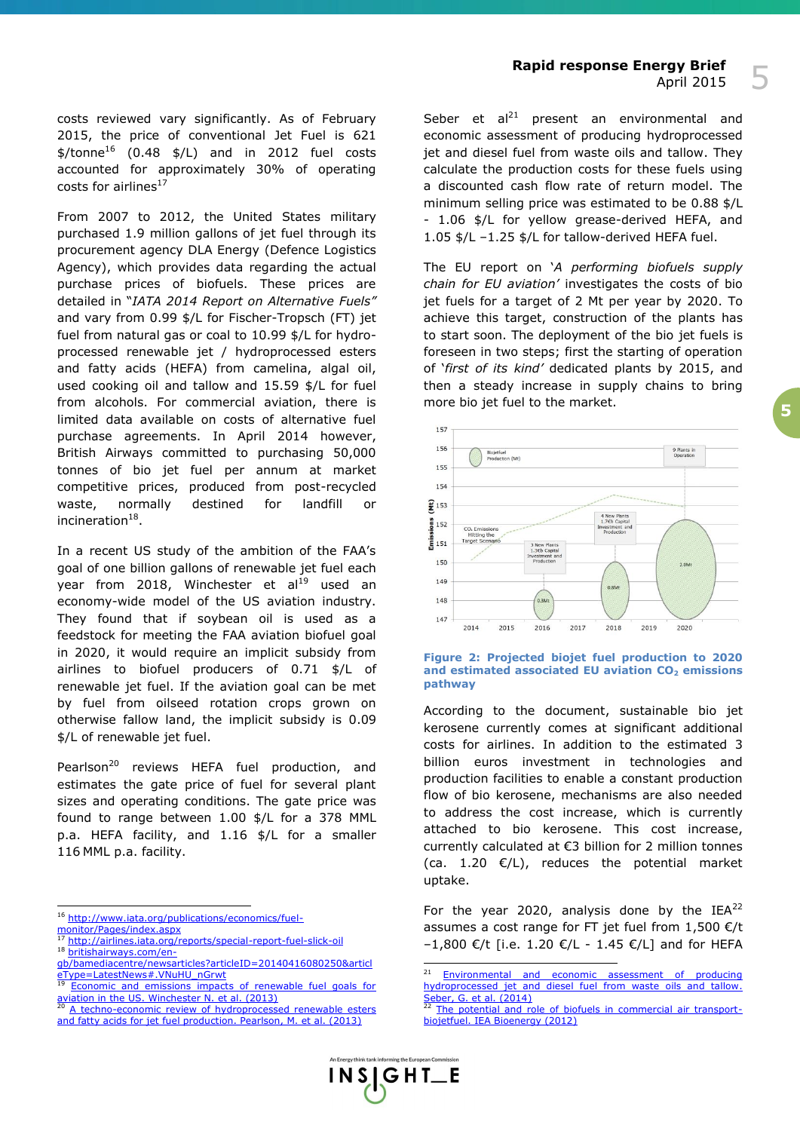costs reviewed vary significantly. As of February 2015, the price of conventional Jet Fuel is 621  $$/tonne<sup>16</sup>$  (0.48  $$/L$ ) and in 2012 fuel costs accounted for approximately 30% of operating costs for airlines<sup>17</sup>

From 2007 to 2012, the United States military purchased 1.9 million gallons of jet fuel through its procurement agency DLA Energy (Defence Logistics Agency), which provides data regarding the actual purchase prices of biofuels. These prices are detailed in "*IATA 2014 Report on Alternative Fuels"*  and vary from 0.99 \$/L for Fischer-Tropsch (FT) jet fuel from natural gas or coal to 10.99 \$/L for hydroprocessed renewable jet / hydroprocessed esters and fatty acids (HEFA) from camelina, algal oil, used cooking oil and tallow and 15.59 \$/L for fuel from alcohols. For commercial aviation, there is limited data available on costs of alternative fuel purchase agreements. In April 2014 however, British Airways committed to purchasing 50,000 tonnes of bio jet fuel per annum at market competitive prices, produced from post-recycled waste, normally destined for landfill or incineration<sup>18</sup>.

In a recent US study of the ambition of the FAA's goal of one billion gallons of renewable jet fuel each year from 2018, Winchester et al<sup>19</sup> used an economy-wide model of the US aviation industry. They found that if soybean oil is used as a feedstock for meeting the FAA aviation biofuel goal in 2020, it would require an implicit subsidy from airlines to biofuel producers of 0.71 \$/L of renewable jet fuel. If the aviation goal can be met by fuel from oilseed rotation crops grown on otherwise fallow land, the implicit subsidy is 0.09 \$/L of renewable jet fuel.

Pearlson<sup>20</sup> reviews HEFA fuel production, and estimates the gate price of fuel for several plant sizes and operating conditions. The gate price was found to range between 1.00 \$/L for a 378 MML p.a. HEFA facility, and 1.16 \$/L for a smaller 116 MML p.a. facility.

16 [http://www.iata.org/publications/economics/fuel](http://www.iata.org/publications/economics/fuel-monitor/Pages/index.aspx)[monitor/Pages/index.aspx](http://www.iata.org/publications/economics/fuel-monitor/Pages/index.aspx)

ł

<http://airlines.iata.org/reports/special-report-fuel-slick-oil> 18 [britishairways.com/en-](http://www.britishairways.com/en-gb/bamediacentre/newsarticles?articleID=20140416080250&articleType=LatestNews#.VUOM7fm6eUm)

 $INS \mid GHT_E$ 

Seber et  $al^{21}$  present an environmental and economic assessment of producing hydroprocessed jet and diesel fuel from waste oils and tallow. They calculate the production costs for these fuels using a discounted cash flow rate of return model. The minimum selling price was estimated to be 0.88 \$/L - 1.06 \$/L for yellow grease-derived HEFA, and 1.05 \$/L –1.25 \$/L for tallow-derived HEFA fuel.

The EU report on '*A performing biofuels supply chain for EU aviation'* investigates the costs of bio jet fuels for a target of 2 Mt per year by 2020. To achieve this target, construction of the plants has to start soon. The deployment of the bio jet fuels is foreseen in two steps; first the starting of operation of '*first of its kind'* dedicated plants by 2015, and then a steady increase in supply chains to bring more bio jet fuel to the market.



#### **Figure 2: Projected biojet fuel production to 2020 and estimated associated EU aviation CO<sup>2</sup> emissions pathway**

According to the document, sustainable bio jet kerosene currently comes at significant additional costs for airlines. In addition to the estimated 3 billion euros investment in technologies and production facilities to enable a constant production flow of bio kerosene, mechanisms are also needed to address the cost increase, which is currently attached to bio kerosene. This cost increase, currently calculated at €3 billion for 2 million tonnes (ca. 1.20  $E/L$ ), reduces the potential market uptake.

For the year 2020, analysis done by the  $IEA^{22}$ assumes a cost range for FT jet fuel from 1,500 €/t  $-1,800$  €/t [i.e. 1.20 €/L - 1.45 €/L] and for HEFA

**5**

[gb/bamediacentre/newsarticles?articleID=20140416080250&articl](http://www.britishairways.com/en-gb/bamediacentre/newsarticles?articleID=20140416080250&articleType=LatestNews#.VUOM7fm6eUm) [eType=LatestNews#.VNuHU\\_nGrwt](http://www.britishairways.com/en-gb/bamediacentre/newsarticles?articleID=20140416080250&articleType=LatestNews#.VUOM7fm6eUm)

Economic and emissions impacts of renewable fuel goals for [aviation in the US. Winchester N. et al. \(2013\)](file:///C:/Users/U016786/AppData/Local/Microsoft/Windows/Temporary%20Internet%20Files/Content.Outlook/PEQ59XUA/globalchange.mit.edu/files/document/MITJPSPGC_Reprint_13-27.pdf)

A techno-economic review of hydroprocessed renewable [and fatty acids for jet fuel production. Pearlson, M. et al. \(2013\)](file:///C:/Users/U016786/AppData/Local/Microsoft/Windows/Temporary%20Internet%20Files/Content.Outlook/PEQ59XUA/onlinelibrary.wiley.com/doi/10.1002/bbb.1378/abstract)

 $21$ Environmental and economic assessment of producing [hydroprocessed jet and diesel fuel from waste oils and tallow.](doi:10.1016/j.biombioe.2014.04.024)  [Seber, G. et al. \(2014\)](doi:10.1016/j.biombioe.2014.04.024)

[The potential and role of biofuels in commercial air transport](http://www.bioenergytrade.org/downloads/T40-Biojetfuel-Report-Sept2012.pdf)[biojetfuel. IEA Bioenergy \(2012\)](http://www.bioenergytrade.org/downloads/T40-Biojetfuel-Report-Sept2012.pdf)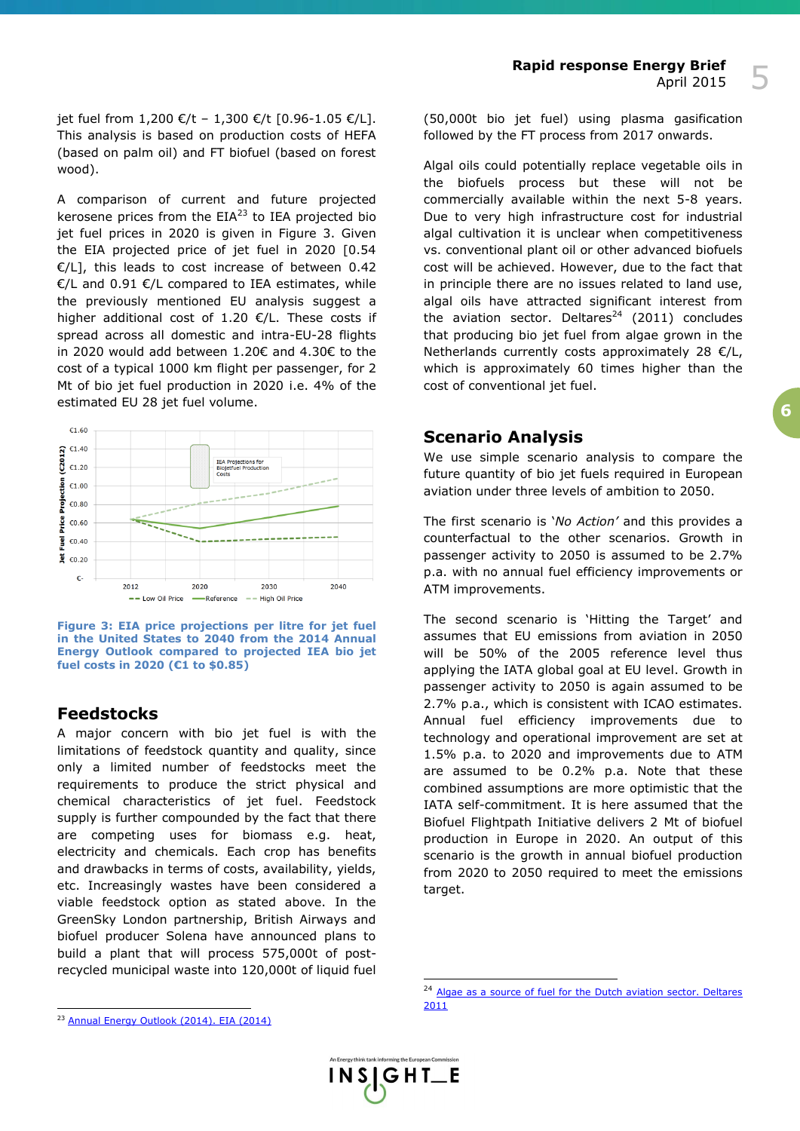jet fuel from 1,200 €/t – 1,300 €/t [0.96-1.05 €/L]. This analysis is based on production costs of HEFA (based on palm oil) and FT biofuel (based on forest wood).

A comparison of current and future projected kerosene prices from the  $EIA^{23}$  to IEA projected bio jet fuel prices in 2020 is given in Figure 3. Given the EIA projected price of jet fuel in 2020 [0.54 €/L], this leads to cost increase of between 0.42 €/L and 0.91 €/L compared to IEA estimates, while the previously mentioned EU analysis suggest a higher additional cost of 1.20  $E/L$ . These costs if spread across all domestic and intra-EU-28 flights in 2020 would add between 1.20€ and 4.30€ to the cost of a typical 1000 km flight per passenger, for 2 Mt of bio jet fuel production in 2020 i.e. 4% of the estimated EU 28 jet fuel volume.



**Figure 3: EIA price projections per litre for jet fuel in the United States to 2040 from the 2014 Annual Energy Outlook compared to projected IEA bio jet fuel costs in 2020 (€1 to \$0.85)**

## **Feedstocks**

A major concern with bio jet fuel is with the limitations of feedstock quantity and quality, since only a limited number of feedstocks meet the requirements to produce the strict physical and chemical characteristics of jet fuel. Feedstock supply is further compounded by the fact that there are competing uses for biomass e.g. heat, electricity and chemicals. Each crop has benefits and drawbacks in terms of costs, availability, yields, etc. Increasingly wastes have been considered a viable feedstock option as stated above. In the GreenSky London partnership, British Airways and biofuel producer Solena have announced plans to build a plant that will process 575,000t of postrecycled municipal waste into 120,000t of liquid fuel

(50,000t bio jet fuel) using plasma gasification followed by the FT process from 2017 onwards.

Algal oils could potentially replace vegetable oils in the biofuels process but these will not be commercially available within the next 5-8 years. Due to very high infrastructure cost for industrial algal cultivation it is unclear when competitiveness vs. conventional plant oil or other advanced biofuels cost will be achieved. However, due to the fact that in principle there are no issues related to land use, algal oils have attracted significant interest from the aviation sector. Deltares $^{24}$  (2011) concludes that producing bio jet fuel from algae grown in the Netherlands currently costs approximately 28  $E/L$ , which is approximately 60 times higher than the cost of conventional jet fuel.

## **Scenario Analysis**

We use simple scenario analysis to compare the future quantity of bio jet fuels required in European aviation under three levels of ambition to 2050.

The first scenario is '*No Action'* and this provides a counterfactual to the other scenarios. Growth in passenger activity to 2050 is assumed to be 2.7% p.a. with no annual fuel efficiency improvements or ATM improvements.

The second scenario is 'Hitting the Target' and assumes that EU emissions from aviation in 2050 will be 50% of the 2005 reference level thus applying the IATA global goal at EU level. Growth in passenger activity to 2050 is again assumed to be 2.7% p.a., which is consistent with ICAO estimates. Annual fuel efficiency improvements due to technology and operational improvement are set at 1.5% p.a. to 2020 and improvements due to ATM are assumed to be 0.2% p.a. Note that these combined assumptions are more optimistic that the IATA self-commitment. It is here assumed that the Biofuel Flightpath Initiative delivers 2 Mt of biofuel production in Europe in 2020. An output of this scenario is the growth in annual biofuel production from 2020 to 2050 required to meet the emissions target.



-

<sup>&</sup>lt;sup>24</sup> Algae as a source of fuel for the Dutch aviation sector. Deltares [2011](file:///C:/Users/U016786/AppData/Local/Microsoft/Windows/Temporary%20Internet%20Files/Content.Outlook/PEQ59XUA/dtvirt35.deltares.nl/products/22617)

ł <sup>23</sup> [Annual Energy Outlook \(2014\). EIA \(2014\)](http://www.eia.gov/forecasts/aeo/pdf/0383(2014).pdf)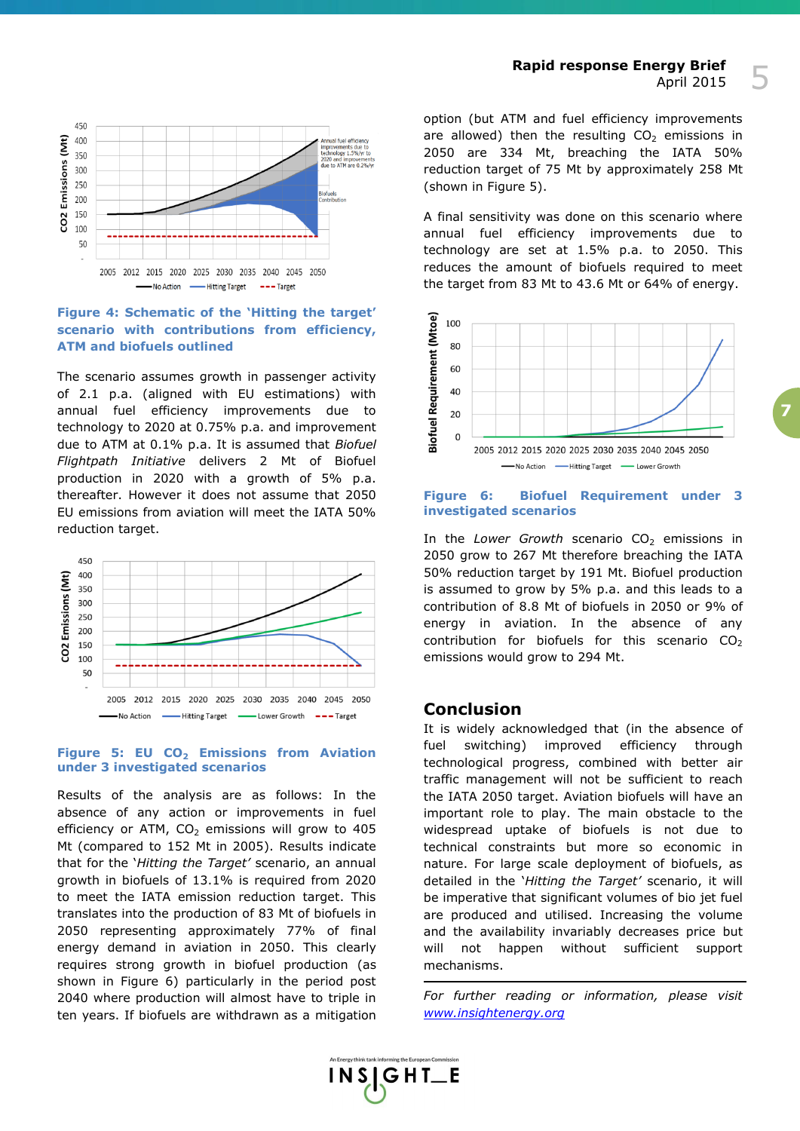

#### **Figure 4: Schematic of the 'Hitting the target' scenario with contributions from efficiency, ATM and biofuels outlined**

The scenario assumes growth in passenger activity of 2.1 p.a. (aligned with EU estimations) with annual fuel efficiency improvements due to technology to 2020 at 0.75% p.a. and improvement due to ATM at 0.1% p.a. It is assumed that *Biofuel Flightpath Initiative* delivers 2 Mt of Biofuel production in 2020 with a growth of 5% p.a. thereafter. However it does not assume that 2050 EU emissions from aviation will meet the IATA 50% reduction target.



#### **Figure 5: EU CO<sup>2</sup> Emissions from Aviation under 3 investigated scenarios**

Results of the analysis are as follows: In the absence of any action or improvements in fuel efficiency or ATM,  $CO<sub>2</sub>$  emissions will grow to 405 Mt (compared to 152 Mt in 2005). Results indicate that for the '*Hitting the Target'* scenario, an annual growth in biofuels of 13.1% is required from 2020 to meet the IATA emission reduction target. This translates into the production of 83 Mt of biofuels in 2050 representing approximately 77% of final energy demand in aviation in 2050. This clearly requires strong growth in biofuel production (as shown in Figure 6) particularly in the period post 2040 where production will almost have to triple in ten years. If biofuels are withdrawn as a mitigation

option (but ATM and fuel efficiency improvements are allowed) then the resulting  $CO<sub>2</sub>$  emissions in 2050 are 334 Mt, breaching the IATA 50% reduction target of 75 Mt by approximately 258 Mt (shown in Figure 5).

A final sensitivity was done on this scenario where annual fuel efficiency improvements due to technology are set at 1.5% p.a. to 2050. This reduces the amount of biofuels required to meet the target from 83 Mt to 43.6 Mt or 64% of energy.



**7**

#### **Figure 6: Biofuel Requirement under 3 investigated scenarios**

In the *Lower Growth* scenario CO<sub>2</sub> emissions in 2050 grow to 267 Mt therefore breaching the IATA 50% reduction target by 191 Mt. Biofuel production is assumed to grow by 5% p.a. and this leads to a contribution of 8.8 Mt of biofuels in 2050 or 9% of energy in aviation. In the absence of any contribution for biofuels for this scenario  $CO<sub>2</sub>$ emissions would grow to 294 Mt.

## **Conclusion**

It is widely acknowledged that (in the absence of fuel switching) improved efficiency through technological progress, combined with better air traffic management will not be sufficient to reach the IATA 2050 target. Aviation biofuels will have an important role to play. The main obstacle to the widespread uptake of biofuels is not due to technical constraints but more so economic in nature. For large scale deployment of biofuels, as detailed in the '*Hitting the Target'* scenario, it will be imperative that significant volumes of bio jet fuel are produced and utilised. Increasing the volume and the availability invariably decreases price but will not happen without sufficient support mechanisms.

*For further reading or information, please visit [www.insightenergy.org](http://www.insightenergy.org/)*